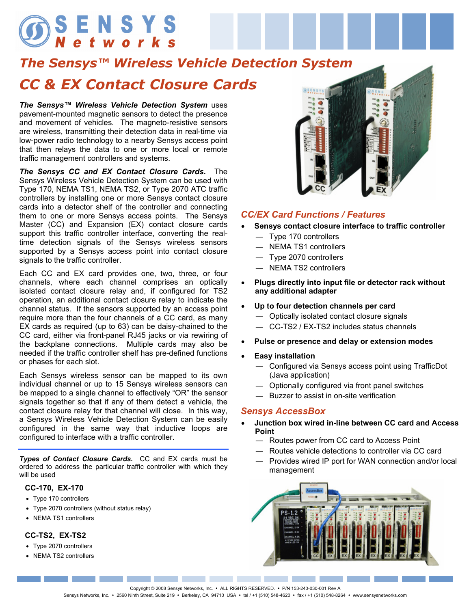# SENSYS<br>Networks

# *The Sensys™ Wireless Vehicle Detection System CC & EX Contact Closure Cards*

*The Sensys™ Wireless Vehicle Detection System* uses pavement-mounted magnetic sensors to detect the presence and movement of vehicles. The magneto-resistive sensors are wireless, transmitting their detection data in real-time via low-power radio technology to a nearby Sensys access point that then relays the data to one or more local or remote traffic management controllers and systems.

*The Sensys CC and EX Contact Closure Cards.* The Sensys Wireless Vehicle Detection System can be used with Type 170, NEMA TS1, NEMA TS2, or Type 2070 ATC traffic controllers by installing one or more Sensys contact closure cards into a detector shelf of the controller and connecting them to one or more Sensys access points. The Sensys Master (CC) and Expansion (EX) contact closure cards support this traffic controller interface, converting the realtime detection signals of the Sensys wireless sensors supported by a Sensys access point into contact closure signals to the traffic controller.

Each CC and EX card provides one, two, three, or four channels, where each channel comprises an optically isolated contact closure relay and, if configured for TS2 operation, an additional contact closure relay to indicate the channel status. If the sensors supported by an access point require more than the four channels of a CC card, as many EX cards as required (up to 63) can be daisy-chained to the CC card, either via front-panel RJ45 jacks or via rewiring of the backplane connections. Multiple cards may also be needed if the traffic controller shelf has pre-defined functions or phases for each slot.

Each Sensys wireless sensor can be mapped to its own individual channel or up to 15 Sensys wireless sensors can be mapped to a single channel to effectively "OR" the sensor signals together so that if any of them detect a vehicle, the contact closure relay for that channel will close. In this way, a Sensys Wireless Vehicle Detection System can be easily configured in the same way that inductive loops are configured to interface with a traffic controller.

*Types of Contact Closure Cards.* CC and EX cards must be ordered to address the particular traffic controller with which they will be used

#### **CC-170, EX-170**

- Type 170 controllers
- Type 2070 controllers (without status relay)
- NEMA TS1 controllers

#### **CC-TS2, EX-TS2**

- Type 2070 controllers
- NEMA TS2 controllers



#### *CC/EX Card Functions / Features*

- **Sensys contact closure interface to traffic controller** 
	- ― Type 170 controllers
	- ― NEMA TS1 controllers
	- ― Type 2070 controllers
	- ― NEMA TS2 controllers
- **Plugs directly into input file or detector rack without any additional adapter**
- **Up to four detection channels per card** 
	- ― Optically isolated contact closure signals
	- ― CC-TS2 / EX-TS2 includes status channels
- **Pulse or presence and delay or extension modes**
- **Easy installation** 
	- ― Configured via Sensys access point using TrafficDot (Java application)
	- ― Optionally configured via front panel switches
	- ― Buzzer to assist in on-site verification

#### *Sensys AccessBox*

- **Junction box wired in-line between CC card and Access Point** 
	- ― Routes power from CC card to Access Point
	- ― Routes vehicle detections to controller via CC card
	- ― Provides wired IP port for WAN connection and/or local management



Copyright © 2008 Sensys Networks, Inc. . ALL RIGHTS RESERVED. . P/N 153-240-030-001 Rev A

the contract of the contract of the

Sensys Networks, Inc. • 2560 Ninth Street, Suite 219 • Berkeley, CA 94710 USA • tel / +1 (510) 548-4620 • fax / +1 (510) 548-8264 • www.sensysnetworks.com